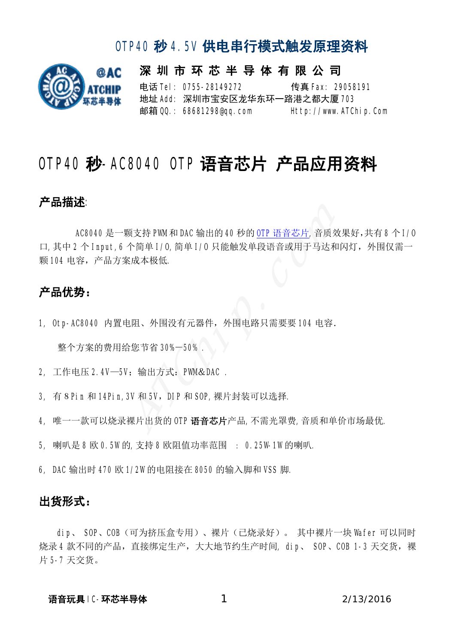

深 圳 市 环 芯 半 导 体 有 限 公 司 电话 Tel: 0755-28149272 传真 Fax: 29058191 地址 Add: 深圳市宝安区龙华东环一路港之都大厦 703 邮箱 QQ.: 68681298@qq.com Http://www.ATChip.Com

# OIP40秒-AC8040 OIP语音芯片 产品应用资料

#### 产品描述:

AC8040 是一颗支持 PWM 和 DAC 输出的 40 秒的 OTP 语音芯片,音质效果好,共有 8 个 I/0 口,其中 2 个 Input,6 个简单 I/O,简单 I/O 只能触发单段语音或用于马达和闪灯,外围仅需一 颗104 电容,产品方案成本极低。 -颗支持 PWM和 DAC 输出的 40 秒的 <mark>OTP 语音芯片</mark>,音质<br>6 个简单 1/0,简单 1/0 只能触发单段语音或用于马达<br>:案成本极低.<br><br>!电阻、外围没有元器件,外围电路只需要要 104 电容<br>|给您节省 30%-50% .<br>|5V: 输出方式: PWM& DAC .<br>|5V: 输出方式: PWM& DAC .

#### 产品优势:

1, Otp-AC8040 内置电阻、外围没有元器件, 外围电路只需要要 104 电容.

整个方案的费用给您节省 30%-50% .

- 2, 工作电压 2.4V-5V; 输出方式: PWM&DAC .
- 3, 有 8 Pin 和 14Pin,3V 和 5V, DIP 和 SOP,裸片封装可以选择.
- 4, 唯一一款可以烧录裸片出货的 OTP 语音芯片产品,不需光罩费,音质和单价市场最优.
- 5, 喇叭是 8 欧 0.5W的,支持 8 欧阻值功率范围 : 0.25W-1W的喇叭.
- 6, DAC 输出时 470 欧 1/2W 的电阻接在 8050 的输入脚和 VSS 脚.

#### 出货形式:

dip、 SOP、COB(可为挤压盒专用)、裸片(已烧录好)。 其中裸片一块 Wafer 可以同时 烧录4款不同的产品,直接绑定生产,大大地节约生产时间, dip、 SOP、COB 1-3 天交货, 裸 片 5-7 天交货。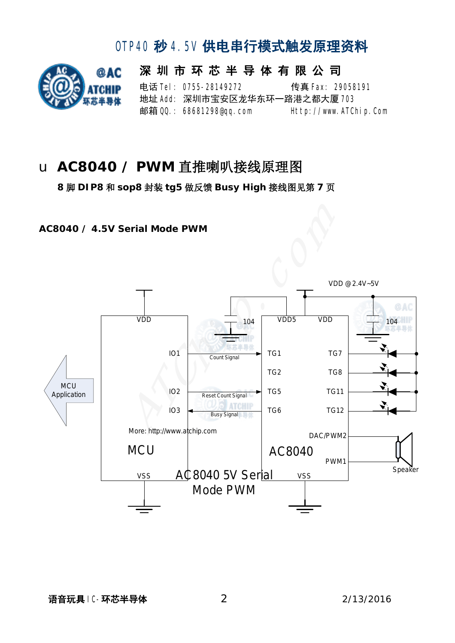

深 圳 市 环 芯 半 导 体 有 限 公 司 电话 **Tel: 0755-28149272** 传真 Fax: 29058191 地址 Add: 深圳市宝安区龙华东环一路港之都大厦 703 邮箱 QQ: 68681298@qq.com Http://www.ATChip.Com

## u **AC8040 / PWM** 直推喇叭接线原理图

 **8** 脚 **DIP8** 和 **sop8** 封装 **tg5** 做反馈 **Busy High** 接线图见第 **7** 页

**AC8040 / 4.5V Serial Mode PWM** 

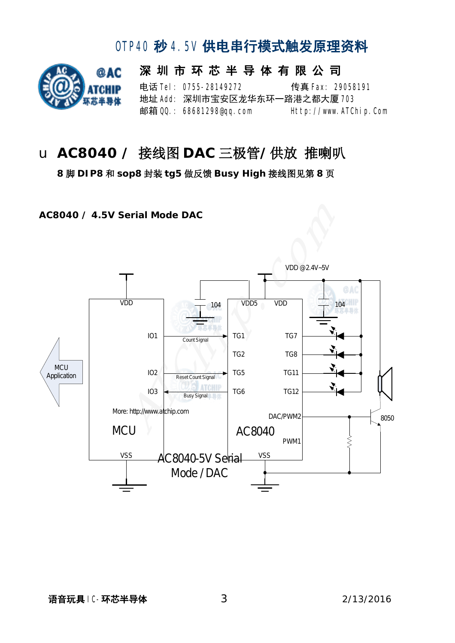

深 圳 市 环 芯 半 导 体 有 限 公 司 电话 **Tel: 0755-28149272** 传真 Fax: 29058191 地址 Add: 深圳市宝安区龙华东环一路港之都大厦 703 邮箱 QQ: 68681298@qq.com Http://www.ATChip.Com

### u **AC8040 /** 接线图 **DAC** 三极管**/**供放 推喇叭

**8** 脚 **DIP8** 和 **sop8** 封装 **tg5** 做反馈 **Busy High** 接线图见第 **8** 页

**AC8040 / 4.5V Serial Mode DAC** 

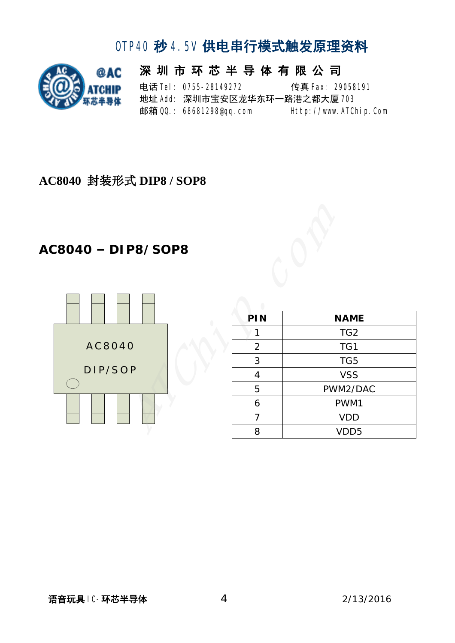

深 圳 市 环 芯 半 导 体 有 限 公 司 电话 **Tel: 0755-28149272** 传真 Fax: 29058191 地址 Add: 深圳市宝安区龙华东环一路港之都大厦 703 邮箱 QQ.: 68681298@qq.com Http://www.ATChip.Com

#### **AC8040** 封装形式 **DIP8 / SOP8**

#### **AC8040 – DIP8/SOP8**



| <b>NAME</b>      |
|------------------|
| TG <sub>2</sub>  |
| TG1              |
| TG5              |
| <b>VSS</b>       |
| PWM2/DAC         |
| PWM1             |
| <b>VDD</b>       |
| VDD <sub>5</sub> |
|                  |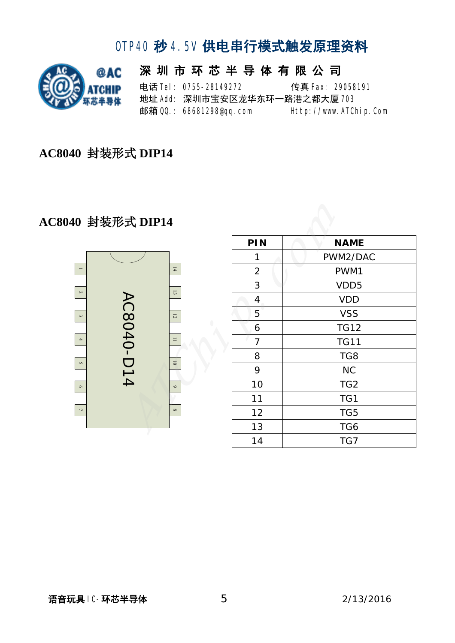

|  | 深 圳 市 环 芯 半 导 体 有 限 公 司       |  |                       |  |
|--|-------------------------------|--|-----------------------|--|
|  | 申话 <b>Tel: 0755-28149272</b>  |  | 传真 Fax: 29058191      |  |
|  | 地址 Add: 深圳市宝安区龙华东环一路港之都大厦 708 |  |                       |  |
|  | 邮箱 QQ: 68681298@qq.com        |  | Http://www.ATChip.Com |  |

**AC8040** 封装形式 **DIP14** 

#### **AC8040** 封装形式 **DIP14**



| 多式 DIP14   |                          |                |                  |  |
|------------|--------------------------|----------------|------------------|--|
|            |                          | PIN            | <b>NAME</b>      |  |
|            |                          | 1              | PWM2/DAC         |  |
|            | $14\,$                   | $\overline{2}$ | PWM1             |  |
| AC8040-D14 | 13                       | 3              | VDD <sub>5</sub> |  |
|            |                          | 4              | <b>VDD</b>       |  |
|            | $1\,$                    | 5              | <b>VSS</b>       |  |
|            |                          | 6              | <b>TG12</b>      |  |
|            | $\equiv$                 | $\overline{7}$ | <b>TG11</b>      |  |
|            | $\overline{\phantom{0}}$ | 8              | TG8              |  |
|            |                          | 9              | <b>NC</b>        |  |
|            | $\circ$                  | 10             | TG <sub>2</sub>  |  |
|            |                          | 11             | TG1              |  |
|            | $\infty$                 | 12             | TG5              |  |
|            |                          | 13             | TG6              |  |
|            |                          | 14             | TG7              |  |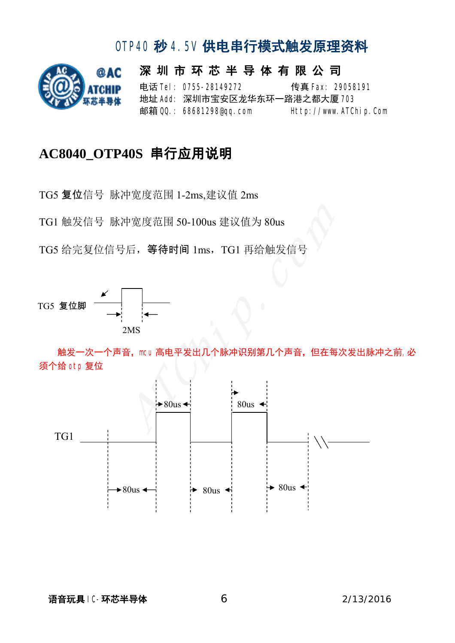

深 圳 市 环 芯 半 导 体 有 限 公 司 电话 **Tel: 0755-28149272** 传真 Fax: 29058191 地址 Add: 深圳市宝安区龙华东环一路港之都大厦 703 邮箱 QQ.: 68681298@qq.com Http://www.ATChip.Com

#### **AC8040\_OTP40S** 串行应用说明

TG5 复位信号 脉冲宽度范围 1-2ms,建议值 2ms

TG1 触发信号 脉冲宽度范围 50-100us 建议值为 80us

TG5 给完复位信号后, 等待时间 1ms, TG1 再给触发信号



触发一次一个声音,mcu 高电平发出几个脉冲识别第几个声音,但在每次发出脉冲之前,必 须个给 otp 复位

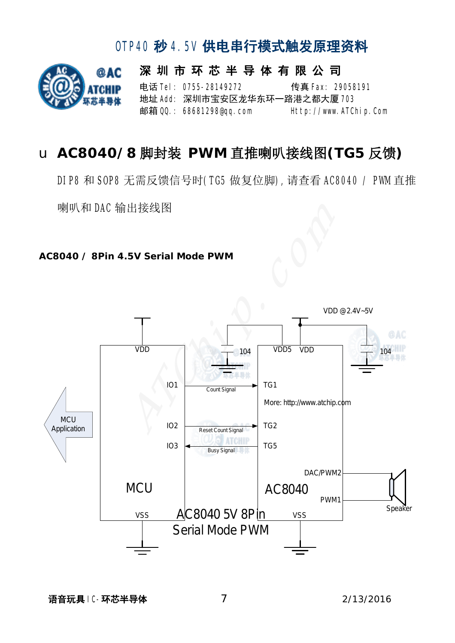# @AC

## OTP40 秒 4.5V 供电串行模式触发原理资料

深 圳 市 环 芯 半 导 体 有 限 公 司 电话 **Tel: 0755-28149272** 传真 Fax: 29058191 地址 Add: 深圳市宝安区龙华东环一路港之都大厦 703 邮箱 QQ.: 68681298@qq.com Http://www.ATChip.Com

## u **AC8040/8** 脚封装 **PWM** 直推喇叭接线图**(TG5** 反馈**)**

DIP8 和 SOP8 无需反馈信号时(TG5 做复位脚),请查看 AC8040 / PWM 直推

喇叭和 DAC 输出接线图

#### **AC8040 / 8Pin 4.5V Serial Mode PWM**

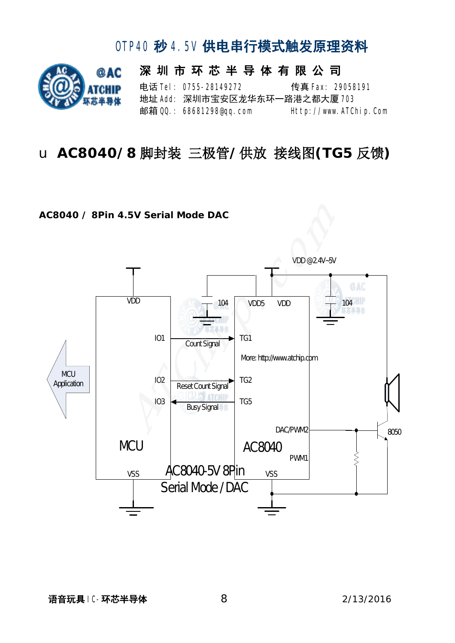

深 圳 市 环 芯 半 导 体 有 限 公 司 电话 Tel: 0755-28149272 传真 Fax: 29058191 地址 Add: 深圳市宝安区龙华东环一路港之都大厦 703 邮箱 QQ: 68681298@qq.com Http://www.ATChip.Com

### u **AC8040/8** 脚封装 三极管**/**供放 接线图**(TG5** 反馈**)**

#### **AC8040 / 8Pin 4.5V Serial Mode DAC**

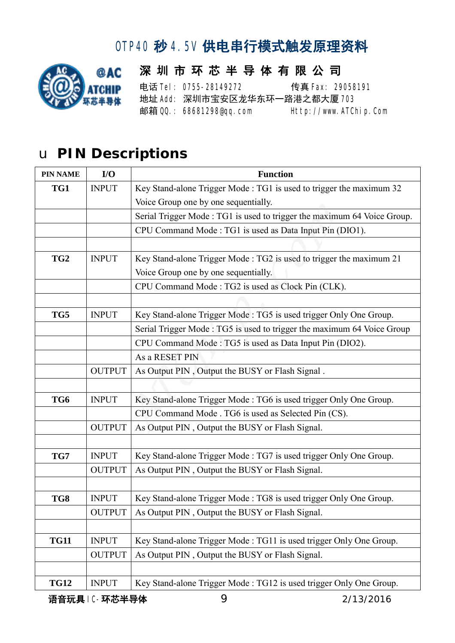

#### 深 圳 市 环 芯 半 导 体 有 限 公 司 电话 **Tel: 0755-28149272** 传真 Fax: 29058191 地址 Add: 深圳市宝安区龙华东环一路港之都大厦 703 邮箱 QQ.: 68681298@qq.com Http://www.ATChip.Com

# u **PIN Descriptions**

| <b>PIN NAME</b> | I/O           | <b>Function</b>                                                         |  |  |
|-----------------|---------------|-------------------------------------------------------------------------|--|--|
| TG1             | <b>INPUT</b>  | Key Stand-alone Trigger Mode: TG1 is used to trigger the maximum 32     |  |  |
|                 |               | Voice Group one by one sequentially.                                    |  |  |
|                 |               | Serial Trigger Mode: TG1 is used to trigger the maximum 64 Voice Group. |  |  |
|                 |               | CPU Command Mode: TG1 is used as Data Input Pin (DIO1).                 |  |  |
|                 |               |                                                                         |  |  |
| TG <sub>2</sub> | <b>INPUT</b>  | Key Stand-alone Trigger Mode: TG2 is used to trigger the maximum 21     |  |  |
|                 |               | Voice Group one by one sequentially.                                    |  |  |
|                 |               | CPU Command Mode: TG2 is used as Clock Pin (CLK).                       |  |  |
|                 |               |                                                                         |  |  |
| TG5             | <b>INPUT</b>  | Key Stand-alone Trigger Mode: TG5 is used trigger Only One Group.       |  |  |
|                 |               | Serial Trigger Mode: TG5 is used to trigger the maximum 64 Voice Group  |  |  |
|                 |               | CPU Command Mode: TG5 is used as Data Input Pin (DIO2).                 |  |  |
|                 |               | As a RESET PIN                                                          |  |  |
|                 | <b>OUTPUT</b> | As Output PIN, Output the BUSY or Flash Signal.                         |  |  |
|                 |               |                                                                         |  |  |
| TG6             | <b>INPUT</b>  | Key Stand-alone Trigger Mode: TG6 is used trigger Only One Group.       |  |  |
|                 |               | CPU Command Mode . TG6 is used as Selected Pin (CS).                    |  |  |
|                 | <b>OUTPUT</b> | As Output PIN, Output the BUSY or Flash Signal.                         |  |  |
|                 |               |                                                                         |  |  |
| TG7             | <b>INPUT</b>  | Key Stand-alone Trigger Mode: TG7 is used trigger Only One Group.       |  |  |
|                 | <b>OUTPUT</b> | As Output PIN, Output the BUSY or Flash Signal.                         |  |  |
|                 |               |                                                                         |  |  |
| TG8             | <b>INPUT</b>  | Key Stand-alone Trigger Mode: TG8 is used trigger Only One Group.       |  |  |
|                 | <b>OUTPUT</b> | As Output PIN, Output the BUSY or Flash Signal.                         |  |  |
|                 |               |                                                                         |  |  |
| <b>TG11</b>     | <b>INPUT</b>  | Key Stand-alone Trigger Mode: TG11 is used trigger Only One Group.      |  |  |
|                 | <b>OUTPUT</b> | As Output PIN, Output the BUSY or Flash Signal.                         |  |  |
|                 |               |                                                                         |  |  |
| <b>TG12</b>     | <b>INPUT</b>  | Key Stand-alone Trigger Mode: TG12 is used trigger Only One Group.      |  |  |

语音玩具 IC-环芯半导体 92/13/2016